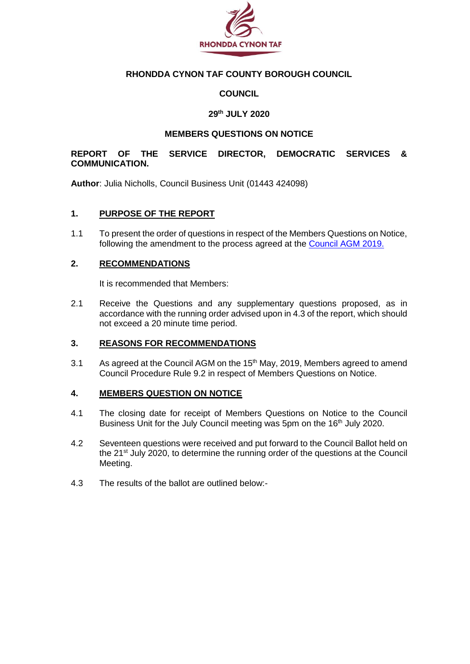

### **RHONDDA CYNON TAF COUNTY BOROUGH COUNCIL**

### **COUNCIL**

#### **29th JULY 2020**

#### **MEMBERS QUESTIONS ON NOTICE**

#### **REPORT OF THE SERVICE DIRECTOR, DEMOCRATIC SERVICES & COMMUNICATION.**

**Author**: Julia Nicholls, Council Business Unit (01443 424098)

#### **1. PURPOSE OF THE REPORT**

1.1 To present the order of questions in respect of the Members Questions on Notice, following the amendment to the process agreed at the [Council AGM 2019.](https://www.rctcbc.gov.uk/EN/Council/CouncillorsCommitteesandMeetings/Meetings/Council/2019/05/15/Reports/Item7TheCouncilsConstitutionProposedAmendmentsAndAncillaryMatters.pdf)

#### **2. RECOMMENDATIONS**

It is recommended that Members:

2.1 Receive the Questions and any supplementary questions proposed, as in accordance with the running order advised upon in 4.3 of the report, which should not exceed a 20 minute time period.

#### **3. REASONS FOR RECOMMENDATIONS**

3.1 As agreed at the Council AGM on the 15<sup>th</sup> May, 2019, Members agreed to amend Council Procedure Rule 9.2 in respect of Members Questions on Notice.

#### **4. MEMBERS QUESTION ON NOTICE**

- 4.1 The closing date for receipt of Members Questions on Notice to the Council Business Unit for the July Council meeting was 5pm on the 16<sup>th</sup> July 2020.
- 4.2 Seventeen questions were received and put forward to the Council Ballot held on the 21<sup>st</sup> July 2020, to determine the running order of the questions at the Council Meeting.
- 4.3 The results of the ballot are outlined below:-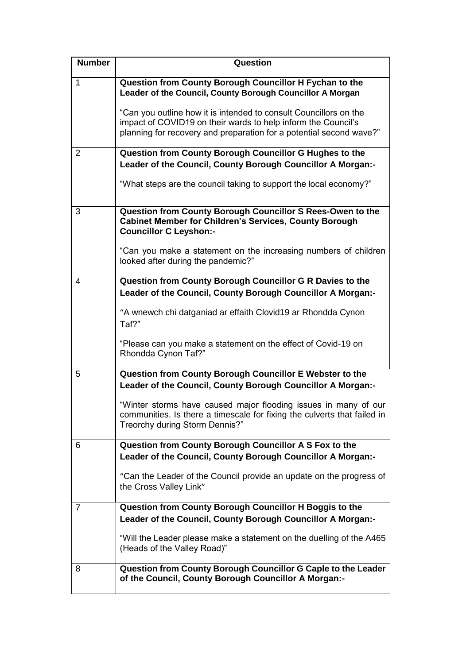| <b>Number</b>  | Question                                                                                                                                                                                                  |
|----------------|-----------------------------------------------------------------------------------------------------------------------------------------------------------------------------------------------------------|
| $\mathbf{1}$   | Question from County Borough Councillor H Fychan to the<br>Leader of the Council, County Borough Councillor A Morgan                                                                                      |
|                | "Can you outline how it is intended to consult Councillors on the<br>impact of COVID19 on their wards to help inform the Council's<br>planning for recovery and preparation for a potential second wave?" |
| $\overline{2}$ | Question from County Borough Councillor G Hughes to the                                                                                                                                                   |
|                | Leader of the Council, County Borough Councillor A Morgan:-                                                                                                                                               |
|                | "What steps are the council taking to support the local economy?"                                                                                                                                         |
| 3              | Question from County Borough Councillor S Rees-Owen to the<br><b>Cabinet Member for Children's Services, County Borough</b><br><b>Councillor C Leyshon:-</b>                                              |
|                | "Can you make a statement on the increasing numbers of children<br>looked after during the pandemic?"                                                                                                     |
| 4              | Question from County Borough Councillor G R Davies to the<br>Leader of the Council, County Borough Councillor A Morgan:-                                                                                  |
|                | "A wnewch chi datganiad ar effaith Clovid19 ar Rhondda Cynon<br>Taf?"                                                                                                                                     |
|                | "Please can you make a statement on the effect of Covid-19 on<br>Rhondda Cynon Taf?"                                                                                                                      |
| 5              | Question from County Borough Councillor E Webster to the<br>Leader of the Council, County Borough Councillor A Morgan:-                                                                                   |
|                | "Winter storms have caused major flooding issues in many of our<br>communities. Is there a timescale for fixing the culverts that failed in<br>Treorchy during Storm Dennis?"                             |
| 6              | Question from County Borough Councillor A S Fox to the<br>Leader of the Council, County Borough Councillor A Morgan:-                                                                                     |
|                | "Can the Leader of the Council provide an update on the progress of<br>the Cross Valley Link"                                                                                                             |
| 7              | Question from County Borough Councillor H Boggis to the                                                                                                                                                   |
|                | Leader of the Council, County Borough Councillor A Morgan:-                                                                                                                                               |
|                | "Will the Leader please make a statement on the duelling of the A465<br>(Heads of the Valley Road)"                                                                                                       |
| 8              | Question from County Borough Councillor G Caple to the Leader<br>of the Council, County Borough Councillor A Morgan:-                                                                                     |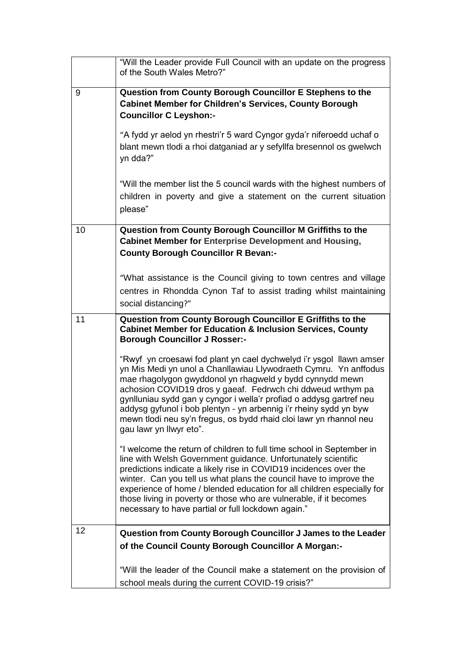|    | "Will the Leader provide Full Council with an update on the progress<br>of the South Wales Metro?"                                                                                                                                                                                                                                                                                                                                                                                                              |
|----|-----------------------------------------------------------------------------------------------------------------------------------------------------------------------------------------------------------------------------------------------------------------------------------------------------------------------------------------------------------------------------------------------------------------------------------------------------------------------------------------------------------------|
| 9  | Question from County Borough Councillor E Stephens to the<br><b>Cabinet Member for Children's Services, County Borough</b><br><b>Councillor C Leyshon:-</b>                                                                                                                                                                                                                                                                                                                                                     |
|    | "A fydd yr aelod yn rhestri'r 5 ward Cyngor gyda'r niferoedd uchaf o<br>blant mewn tlodi a rhoi datganiad ar y sefyllfa bresennol os gwelwch<br>yn dda?"                                                                                                                                                                                                                                                                                                                                                        |
|    | "Will the member list the 5 council wards with the highest numbers of<br>children in poverty and give a statement on the current situation<br>please"                                                                                                                                                                                                                                                                                                                                                           |
| 10 | Question from County Borough Councillor M Griffiths to the<br><b>Cabinet Member for Enterprise Development and Housing,</b><br><b>County Borough Councillor R Bevan:-</b>                                                                                                                                                                                                                                                                                                                                       |
|    | "What assistance is the Council giving to town centres and village<br>centres in Rhondda Cynon Taf to assist trading whilst maintaining<br>social distancing?"                                                                                                                                                                                                                                                                                                                                                  |
| 11 | Question from County Borough Councillor E Griffiths to the<br><b>Cabinet Member for Education &amp; Inclusion Services, County</b><br><b>Borough Councillor J Rosser:-</b>                                                                                                                                                                                                                                                                                                                                      |
|    | "Rwyf yn croesawi fod plant yn cael dychwelyd i'r ysgol llawn amser<br>yn Mis Medi yn unol a Chanllawiau Llywodraeth Cymru. Yn anffodus<br>mae rhagolygon gwyddonol yn rhagweld y bydd cynnydd mewn<br>achosion COVID19 dros y gaeaf. Fedrwch chi ddweud wrthym pa<br>gynlluniau sydd gan y cyngor i wella'r profiad o addysg gartref neu<br>addysg gyfunol i bob plentyn - yn arbennig i'r rheiny sydd yn byw<br>mewn tlodi neu sy'n fregus, os bydd rhaid cloi lawr yn rhannol neu<br>gau lawr yn llwyr eto". |
|    | "I welcome the return of children to full time school in September in<br>line with Welsh Government guidance. Unfortunately scientific<br>predictions indicate a likely rise in COVID19 incidences over the<br>winter. Can you tell us what plans the council have to improve the<br>experience of home / blended education for all children especially for<br>those living in poverty or those who are vulnerable, if it becomes<br>necessary to have partial or full lockdown again."                         |
| 12 | Question from County Borough Councillor J James to the Leader                                                                                                                                                                                                                                                                                                                                                                                                                                                   |
|    | of the Council County Borough Councillor A Morgan:-                                                                                                                                                                                                                                                                                                                                                                                                                                                             |
|    | "Will the leader of the Council make a statement on the provision of<br>school meals during the current COVID-19 crisis?"                                                                                                                                                                                                                                                                                                                                                                                       |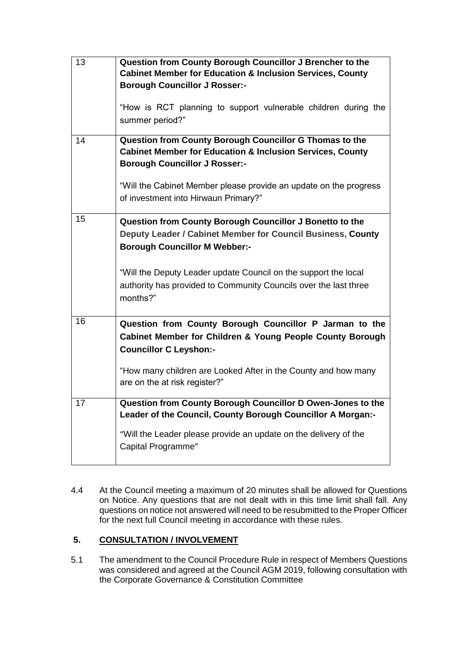| 13 | Question from County Borough Councillor J Brencher to the            |
|----|----------------------------------------------------------------------|
|    | <b>Cabinet Member for Education &amp; Inclusion Services, County</b> |
|    | <b>Borough Councillor J Rosser:-</b>                                 |
|    |                                                                      |
|    | "How is RCT planning to support vulnerable children during the       |
|    |                                                                      |
|    | summer period?"                                                      |
|    |                                                                      |
| 14 | Question from County Borough Councillor G Thomas to the              |
|    | <b>Cabinet Member for Education &amp; Inclusion Services, County</b> |
|    | <b>Borough Councillor J Rosser:-</b>                                 |
|    |                                                                      |
|    | "Will the Cabinet Member please provide an update on the progress    |
|    | of investment into Hirwaun Primary?"                                 |
|    |                                                                      |
| 15 | Question from County Borough Councillor J Bonetto to the             |
|    |                                                                      |
|    | Deputy Leader / Cabinet Member for Council Business, County          |
|    | <b>Borough Councillor M Webber:-</b>                                 |
|    |                                                                      |
|    | "Will the Deputy Leader update Council on the support the local      |
|    | authority has provided to Community Councils over the last three     |
|    | months?"                                                             |
|    |                                                                      |
|    |                                                                      |
| 16 | Question from County Borough Councillor P Jarman to the              |
|    | Cabinet Member for Children & Young People County Borough            |
|    | <b>Councillor C Leyshon:-</b>                                        |
|    |                                                                      |
|    | "How many children are Looked After in the County and how many       |
|    | are on the at risk register?"                                        |
|    |                                                                      |
| 17 | Question from County Borough Councillor D Owen-Jones to the          |
|    | Leader of the Council, County Borough Councillor A Morgan:-          |
|    |                                                                      |
|    | "Will the Leader please provide an update on the delivery of the     |
|    | Capital Programme"                                                   |
|    |                                                                      |
|    |                                                                      |

4.4 At the Council meeting a maximum of 20 minutes shall be allowed for Questions on Notice. Any questions that are not dealt with in this time limit shall fall. Any questions on notice not answered will need to be resubmitted to the Proper Officer for the next full Council meeting in accordance with these rules.

# **5. CONSULTATION / INVOLVEMENT**

5.1 The amendment to the Council Procedure Rule in respect of Members Questions was considered and agreed at the Council AGM 2019, following consultation with the Corporate Governance & Constitution Committee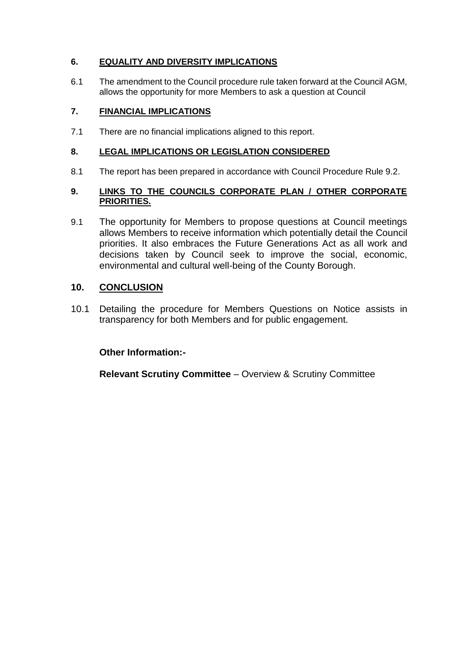# **6. EQUALITY AND DIVERSITY IMPLICATIONS**

6.1 The amendment to the Council procedure rule taken forward at the Council AGM, allows the opportunity for more Members to ask a question at Council

## **7. FINANCIAL IMPLICATIONS**

7.1 There are no financial implications aligned to this report.

### **8. LEGAL IMPLICATIONS OR LEGISLATION CONSIDERED**

8.1 The report has been prepared in accordance with Council Procedure Rule 9.2.

### **9. LINKS TO THE COUNCILS CORPORATE PLAN / OTHER CORPORATE PRIORITIES.**

9.1 The opportunity for Members to propose questions at Council meetings allows Members to receive information which potentially detail the Council priorities. It also embraces the Future Generations Act as all work and decisions taken by Council seek to improve the social, economic, environmental and cultural well-being of the County Borough.

# **10. CONCLUSION**

10.1 Detailing the procedure for Members Questions on Notice assists in transparency for both Members and for public engagement.

## **Other Information:-**

**Relevant Scrutiny Committee** – Overview & Scrutiny Committee